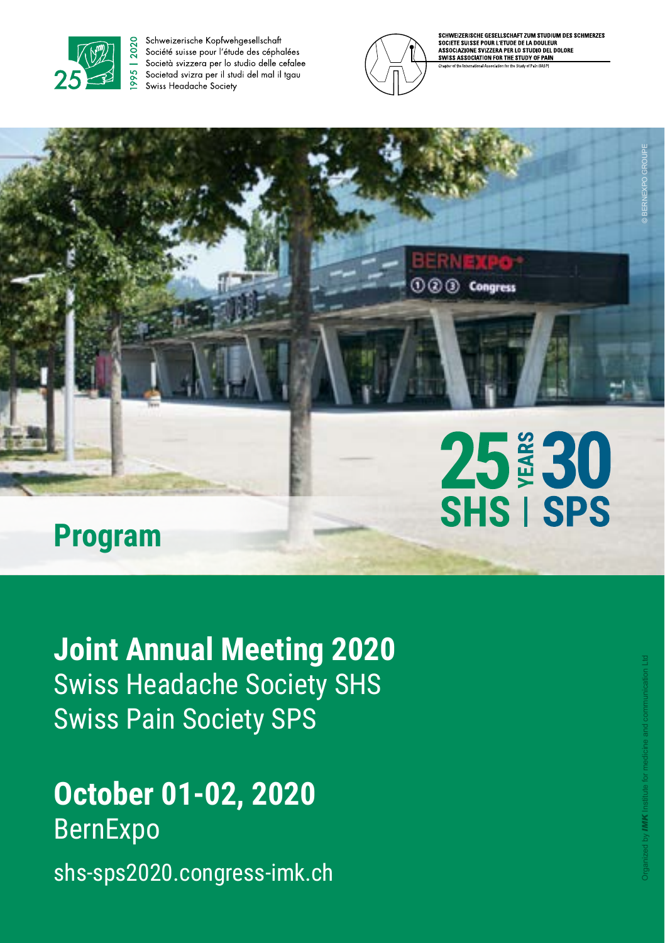

Schweizerische Kopfwehgesellschaft Société suisse pour l'étude des céphalées Società svizzera per lo studio delle cefalee Societad svizra per il studi del mal il tgau Swiss Headache Society



EIZERISCHE GESELLSCHAFT ZUM STUDIUM DES SCHMERZES SCRIVIPLICING USE DURLETING DE LA DOULEUR<br>SOCIETE SUISSE POUR L'ETUDE DE LA DOULEUR<br>ASSOCIAZIONE SVIZZERA PER LO STUDIO DEL DOLORE<br>SWISS ASSOCIATION FOR THE STUDY OF PAIN

25 30<br>SHS I SPS

**000 Congress** 

## **Program**

**Joint Annual Meeting 2020** Swiss Headache Society SHS Swiss Pain Society SPS

## **October 01-02, 2020**  BernExpo shs-sps2020.congress-imk.ch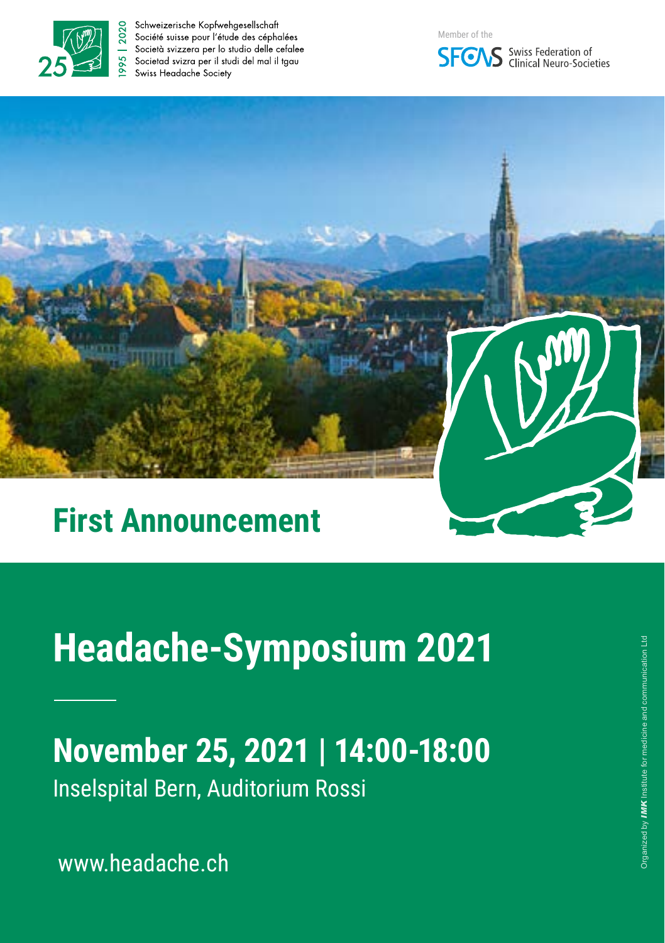

Schweizerische Kopfwehgesellschaft Société suisse pour l'étude des céphalées Società svizzera per lo studio delle cefalee Societad svizra per il studi del mal il tagu Swiss Headache Society







## **First Announcement**

# **Headache-Symposium 2021**

# **November 25, 2021 | 14:00-18:00**

Inselspital Bern, Auditorium Rossi

www.headache.ch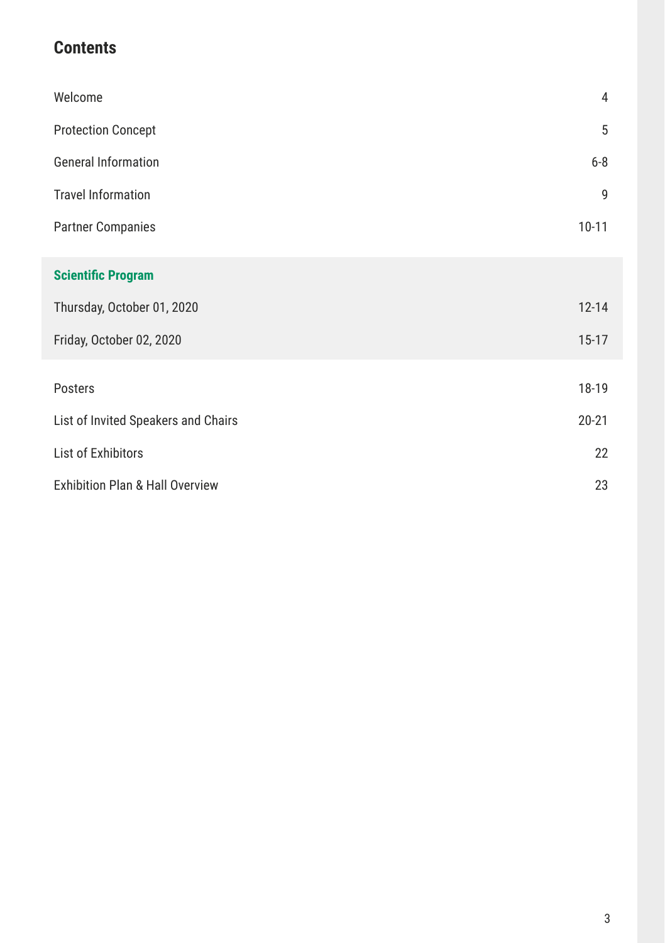## **Contents**

| Welcome                                    | 4         |
|--------------------------------------------|-----------|
| <b>Protection Concept</b>                  | 5         |
| <b>General Information</b>                 | $6 - 8$   |
| <b>Travel Information</b>                  | 9         |
| <b>Partner Companies</b>                   | $10 - 11$ |
| <b>Scientific Program</b>                  |           |
| Thursday, October 01, 2020                 | $12 - 14$ |
| Friday, October 02, 2020                   | $15 - 17$ |
| Posters                                    | 18-19     |
| List of Invited Speakers and Chairs        | $20 - 21$ |
| List of Exhibitors                         | 22        |
| <b>Exhibition Plan &amp; Hall Overview</b> | 23        |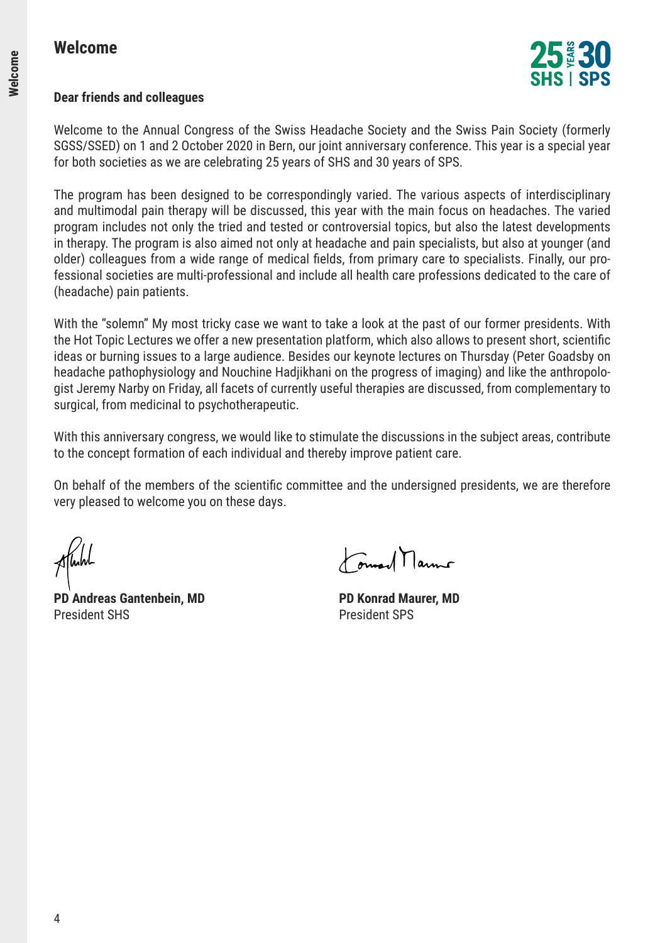

#### **Dear friends and colleagues**

Welcome to the Annual Congress of the Swiss Headache Society and the Swiss Pain Society (formerly SGSS/SSED) on 1 and 2 October 2020 in Bern, our joint anniversary conference. This year is a special year for both societies as we are celebrating 25 years of SHS and 30 years of SPS.

The program has been designed to be correspondingly varied. The various aspects of interdisciplinary and multimodal pain therapy will be discussed, this year with the main focus on headaches. The varied program includes not only the tried and tested or controversial topics, but also the latest developments in therapy. The program is also aimed not only at headache and pain specialists, but also at younger (and older) colleagues from a wide range of medical fields, from primary care to specialists. Finally, our professional societies are multi-professional and include all health care professions dedicated to the care of (headache) pain patients.

With the "solemn" My most tricky case we want to take a look at the past of our former presidents. With the Hot Topic Lectures we offer a new presentation platform, which also allows to present short, scientific ideas or burning issues to a large audience. Besides our keynote lectures on Thursday (Peter Goadsby on headache pathophysiology and Nouchine Hadjikhani on the progress of imaging) and like the anthropologist Jeremy Narby on Friday, all facets of currently useful therapies are discussed, from complementary to surgical, from medicinal to psychotherapeutic.

With this anniversary congress, we would like to stimulate the discussions in the subject areas, contribute to the concept formation of each individual and thereby improve patient care.

On behalf of the members of the scientific committee and the undersigned presidents, we are therefore very pleased to welcome you on these days.

**PD Andreas Gantenbein, MD PD Konrad Maurer, MD** President SHS President SPS

Formand Marmo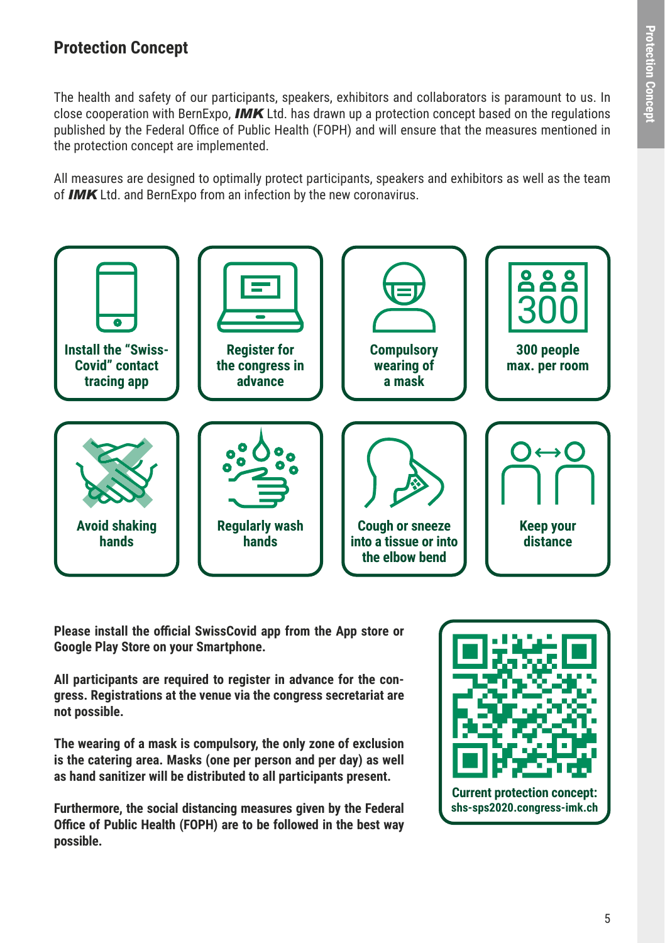### **Protection Concept**

The health and safety of our participants, speakers, exhibitors and collaborators is paramount to us. In close cooperation with BernExpo, *IMK* Ltd. has drawn up a protection concept based on the regulations published by the Federal Office of Public Health (FOPH) and will ensure that the measures mentioned in the protection concept are implemented.

All measures are designed to optimally protect participants, speakers and exhibitors as well as the team of *IMK* Ltd. and BernExpo from an infection by the new coronavirus.



**Please install the official SwissCovid app from the App store or Google Play Store on your Smartphone.** 

**All participants are required to register in advance for the congress. Registrations at the venue via the congress secretariat are not possible.** 

**The wearing of a mask is compulsory, the only zone of exclusion is the catering area. Masks (one per person and per day) as well as hand sanitizer will be distributed to all participants present.** 

**Furthermore, the social distancing measures given by the Federal Office of Public Health (FOPH) are to be followed in the best way possible.** 

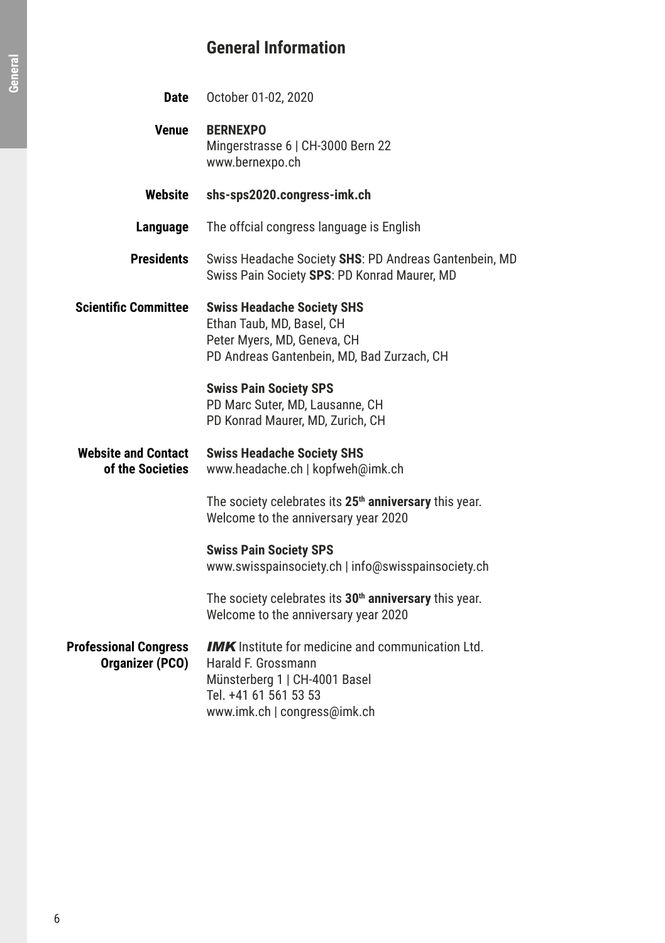## **General Information**

| <b>Date</b>                                            | October 01-02, 2020                                                                                                                                                       |
|--------------------------------------------------------|---------------------------------------------------------------------------------------------------------------------------------------------------------------------------|
| <b>Venue</b>                                           | <b>BERNEXPO</b><br>Mingerstrasse 6   CH-3000 Bern 22<br>www.bernexpo.ch                                                                                                   |
| Website                                                | shs-sps2020.congress-imk.ch                                                                                                                                               |
| Language                                               | The offcial congress language is English                                                                                                                                  |
| <b>Presidents</b>                                      | Swiss Headache Society SHS: PD Andreas Gantenbein, MD<br>Swiss Pain Society SPS: PD Konrad Maurer, MD                                                                     |
| <b>Scientific Committee</b>                            | <b>Swiss Headache Society SHS</b><br>Ethan Taub, MD, Basel, CH<br>Peter Myers, MD, Geneva, CH<br>PD Andreas Gantenbein, MD, Bad Zurzach, CH                               |
|                                                        | <b>Swiss Pain Society SPS</b><br>PD Marc Suter, MD, Lausanne, CH<br>PD Konrad Maurer, MD, Zurich, CH                                                                      |
| <b>Website and Contact</b><br>of the Societies         | <b>Swiss Headache Society SHS</b><br>www.headache.ch   kopfweh@imk.ch                                                                                                     |
|                                                        | The society celebrates its 25 <sup>th</sup> anniversary this year.<br>Welcome to the anniversary year 2020                                                                |
|                                                        | <b>Swiss Pain Society SPS</b><br>www.swisspainsociety.ch   info@swisspainsociety.ch                                                                                       |
|                                                        | The society celebrates its 30 <sup>th</sup> anniversary this year.<br>Welcome to the anniversary year 2020                                                                |
| <b>Professional Congress</b><br><b>Organizer (PCO)</b> | <b>IMK</b> Institute for medicine and communication Ltd.<br>Harald F. Grossmann<br>Münsterberg 1   CH-4001 Basel<br>Tel. +41 61 561 53 53<br>www.imk.ch   congress@imk.ch |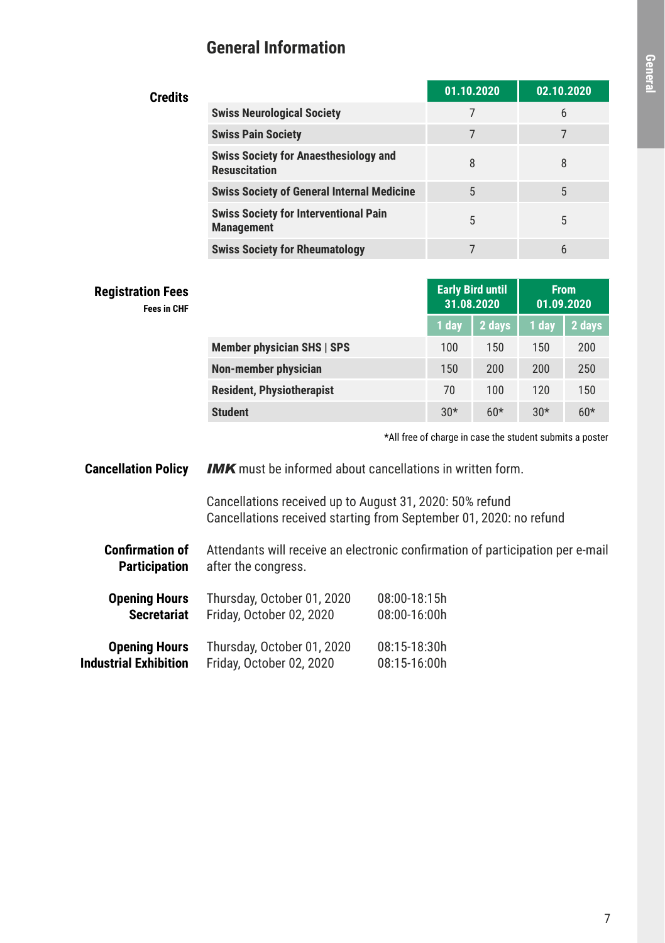## **General Information**

| Credits |                                                                      | 01.10.2020 | 02.10.2020 |
|---------|----------------------------------------------------------------------|------------|------------|
|         | <b>Swiss Neurological Society</b>                                    |            | 6          |
|         | <b>Swiss Pain Society</b>                                            |            |            |
|         | <b>Swiss Society for Anaesthesiology and</b><br><b>Resuscitation</b> | 8          | 8          |
|         | <b>Swiss Society of General Internal Medicine</b>                    | 5          | 5          |
|         | <b>Swiss Society for Interventional Pain</b><br><b>Management</b>    | 5          | 5          |
|         | <b>Swiss Society for Rheumatology</b>                                |            | 6          |

| <b>Registration Fees</b><br><b>Fees in CHF</b> |                                  | <b>Early Bird until</b><br>31.08.2020 |        | <b>From</b><br>01.09.2020 |        |
|------------------------------------------------|----------------------------------|---------------------------------------|--------|---------------------------|--------|
|                                                |                                  | 1 day                                 | 2 days | 1 day                     | 2 days |
|                                                | Member physician SHS   SPS       | 100                                   | 150    | 150                       | 200    |
|                                                | Non-member physician             | 150                                   | 200    | 200                       | 250    |
|                                                | <b>Resident, Physiotherapist</b> | 70                                    | 100    | 120                       | 150    |
|                                                | <b>Student</b>                   | $30*$                                 | $60*$  | $30*$                     | $60*$  |

\*All free of charge in case the student submits a poster

**Cancellation Policy IMK** must be informed about cancellations in written form.

> Cancellations received up to August 31, 2020: 50% refund Cancellations received starting from September 01, 2020: no refund

**Confirmation of Participation** Attendants will receive an electronic confirmation of participation per e-mail after the congress.

| <b>Opening Hours</b>         | Thursday, October 01, 2020 | 08:00-18:15h |
|------------------------------|----------------------------|--------------|
| <b>Secretariat</b>           | Friday, October 02, 2020   | 08:00-16:00h |
| <b>Opening Hours</b>         | Thursday, October 01, 2020 | 08:15-18:30h |
| <b>Industrial Exhibition</b> | Friday, October 02, 2020   | 08:15-16:00h |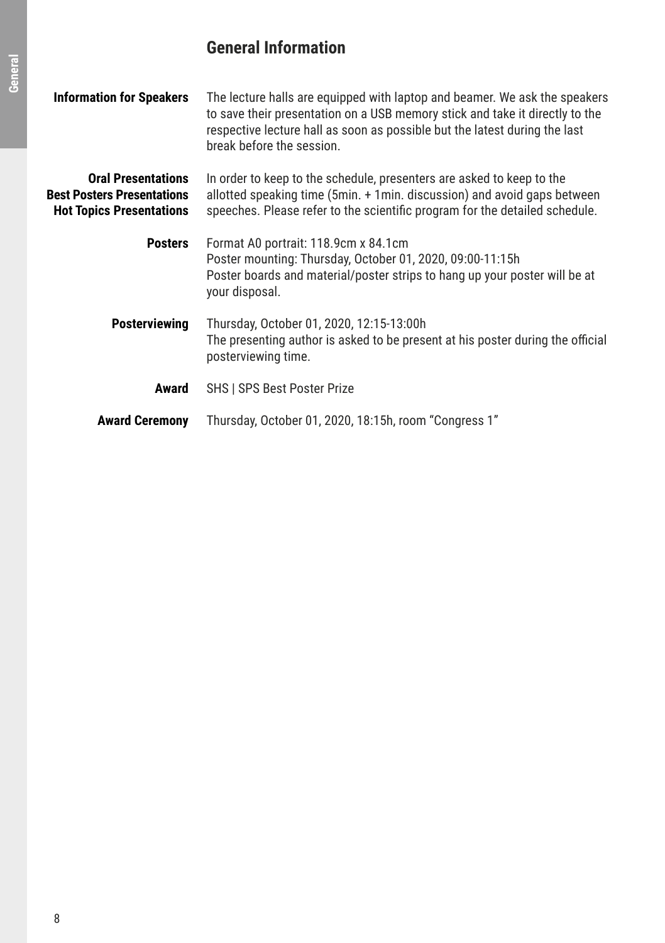## **General Information**

| <b>Information for Speakers</b>                                                                   | The lecture halls are equipped with laptop and beamer. We ask the speakers<br>to save their presentation on a USB memory stick and take it directly to the<br>respective lecture hall as soon as possible but the latest during the last<br>break before the session. |
|---------------------------------------------------------------------------------------------------|-----------------------------------------------------------------------------------------------------------------------------------------------------------------------------------------------------------------------------------------------------------------------|
| <b>Oral Presentations</b><br><b>Best Posters Presentations</b><br><b>Hot Topics Presentations</b> | In order to keep to the schedule, presenters are asked to keep to the<br>allotted speaking time (5min. + 1min. discussion) and avoid gaps between<br>speeches. Please refer to the scientific program for the detailed schedule.                                      |
| <b>Posters</b>                                                                                    | Format A0 portrait: 118.9cm x 84.1cm<br>Poster mounting: Thursday, October 01, 2020, 09:00-11:15h<br>Poster boards and material/poster strips to hang up your poster will be at<br>your disposal.                                                                     |
| <b>Posterviewing</b>                                                                              | Thursday, October 01, 2020, 12:15-13:00h<br>The presenting author is asked to be present at his poster during the official<br>posterviewing time.                                                                                                                     |
| Award                                                                                             | <b>SHS I SPS Best Poster Prize</b>                                                                                                                                                                                                                                    |
| <b>Award Ceremony</b>                                                                             | Thursday, October 01, 2020, 18:15h, room "Congress 1"                                                                                                                                                                                                                 |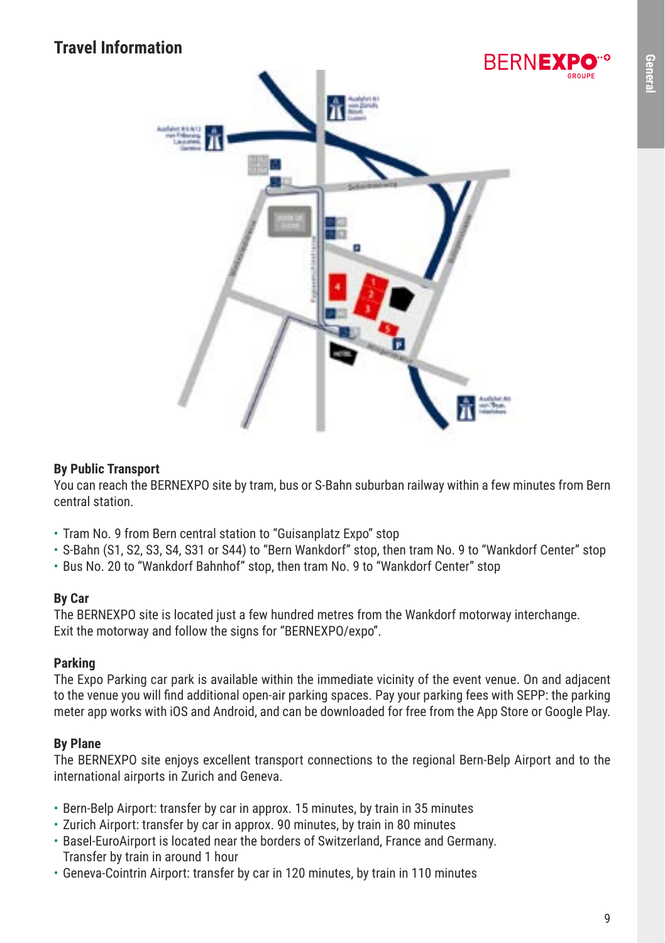## **Travel Information**



#### **By Public Transport**

You can reach the BERNEXPO site by tram, bus or S-Bahn suburban railway within a few minutes from Bern central station.

- Tram No. 9 from Bern central station to "Guisanplatz Expo" stop
- S-Bahn (S1, S2, S3, S4, S31 or S44) to "Bern Wankdorf" stop, then tram No. 9 to "Wankdorf Center" stop
- Bus No. 20 to "Wankdorf Bahnhof" stop, then tram No. 9 to "Wankdorf Center" stop

#### **By Car**

The BERNEXPO site is located just a few hundred metres from the Wankdorf motorway interchange. Exit the motorway and follow the signs for "BERNEXPO/expo".

#### **Parking**

The Expo Parking car park is available within the immediate vicinity of the event venue. On and adjacent to the venue you will find additional open-air parking spaces. Pay your parking fees with SEPP: the parking meter app works with iOS and Android, and can be downloaded for free from the App Store or Google Play.

#### **By Plane**

The BERNEXPO site enjoys excellent transport connections to the regional Bern-Belp Airport and to the international airports in Zurich and Geneva.

- Bern-Belp Airport: transfer by car in approx. 15 minutes, by train in 35 minutes
- Zurich Airport: transfer by car in approx. 90 minutes, by train in 80 minutes
- Basel-EuroAirport is located near the borders of Switzerland, France and Germany. Transfer by train in around 1 hour
- Geneva-Cointrin Airport: transfer by car in 120 minutes, by train in 110 minutes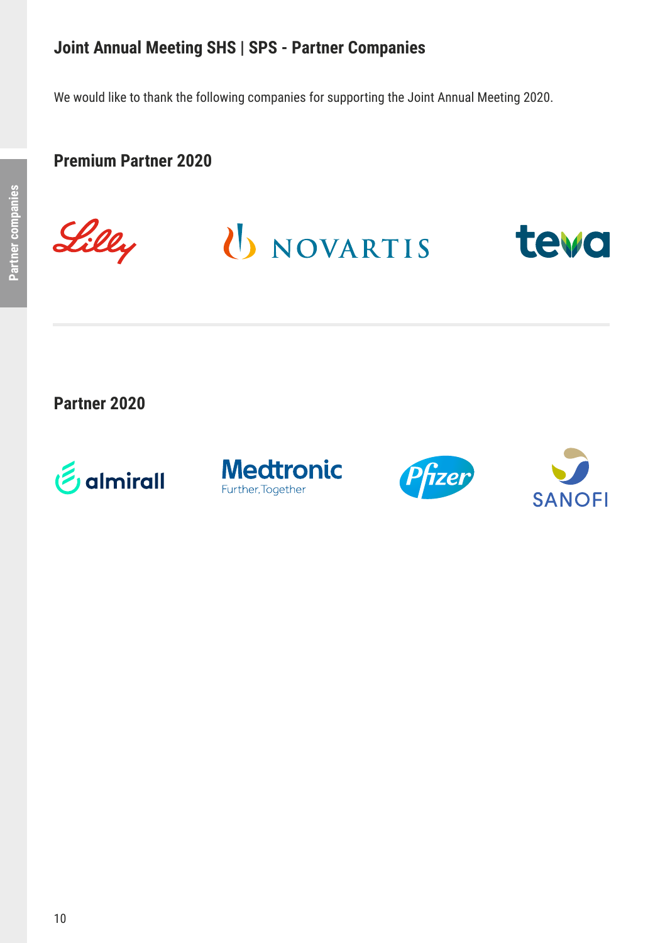We would like to thank the following companies for supporting the Joint Annual Meeting 2020.

### **Premium Partner 2020**



U NOVARTIS



**Partner 2020**







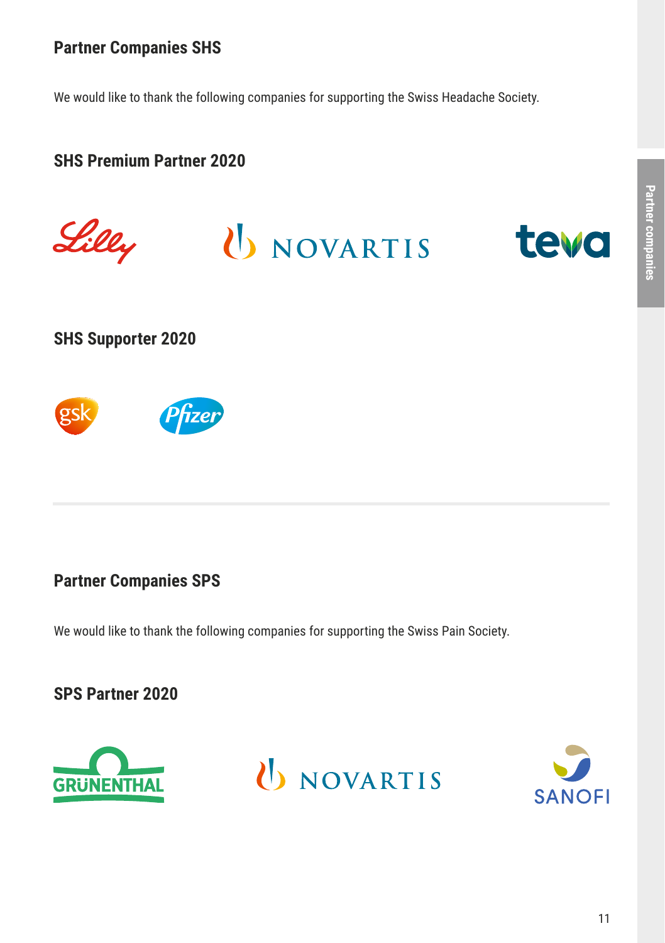## **Partner Companies SHS**

We would like to thank the following companies for supporting the Swiss Headache Society.

## **SHS Premium Partner 2020**



### **Partner Companies SPS**

We would like to thank the following companies for supporting the Swiss Pain Society.

## **SPS Partner 2020**





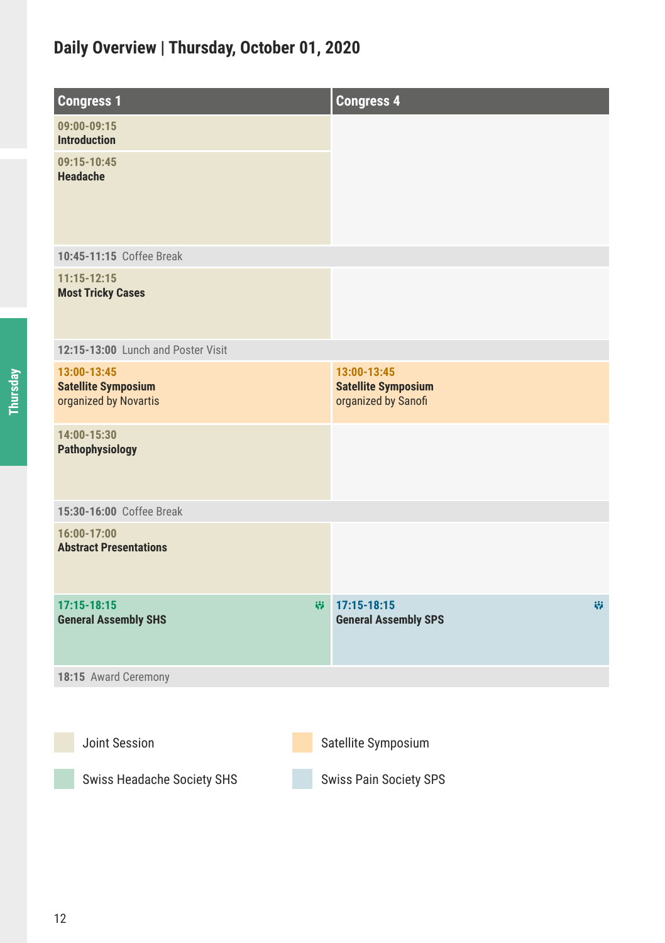## **Daily Overview | Thursday, October 01, 2020**

| <b>Congress 1</b>                                                  |   | <b>Congress 4</b>                                                |   |
|--------------------------------------------------------------------|---|------------------------------------------------------------------|---|
| 09:00-09:15<br><b>Introduction</b>                                 |   |                                                                  |   |
| 09:15-10:45<br><b>Headache</b>                                     |   |                                                                  |   |
| 10:45-11:15 Coffee Break                                           |   |                                                                  |   |
| $11:15 - 12:15$<br><b>Most Tricky Cases</b>                        |   |                                                                  |   |
| 12:15-13:00 Lunch and Poster Visit                                 |   |                                                                  |   |
| 13:00-13:45<br><b>Satellite Symposium</b><br>organized by Novartis |   | 13:00-13:45<br><b>Satellite Symposium</b><br>organized by Sanofi |   |
| 14:00-15:30<br>Pathophysiology                                     |   |                                                                  |   |
| 15:30-16:00 Coffee Break                                           |   |                                                                  |   |
| 16:00-17:00<br><b>Abstract Presentations</b>                       |   |                                                                  |   |
| $17:15 - 18:15$<br><b>General Assembly SHS</b>                     | 帯 | $17:15 - 18:15$<br><b>General Assembly SPS</b>                   | 崩 |
| 18:15 Award Ceremony                                               |   |                                                                  |   |
|                                                                    |   |                                                                  |   |
| Joint Session                                                      |   | Satellite Symposium                                              |   |
| Swiss Headache Society SHS                                         |   | Swiss Pain Society SPS                                           |   |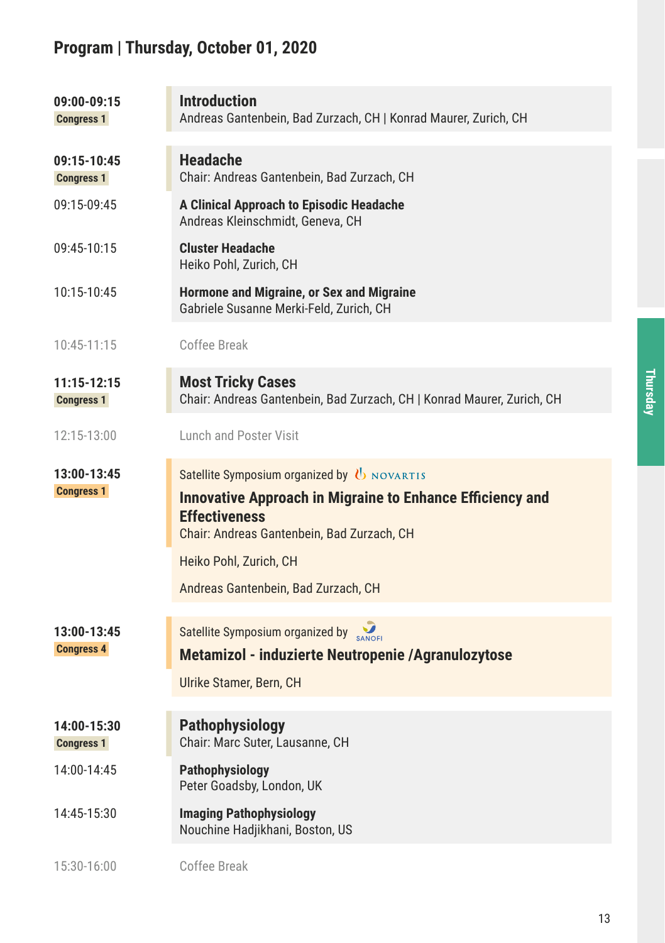## **Program | Thursday, October 01, 2020**

| 09:00-09:15<br><b>Congress 1</b> | <b>Introduction</b><br>Andreas Gantenbein, Bad Zurzach, CH   Konrad Maurer, Zurich, CH                                                                                                |
|----------------------------------|---------------------------------------------------------------------------------------------------------------------------------------------------------------------------------------|
| 09:15-10:45<br><b>Congress 1</b> | <b>Headache</b><br>Chair: Andreas Gantenbein, Bad Zurzach, CH                                                                                                                         |
| 09:15-09:45                      | A Clinical Approach to Episodic Headache<br>Andreas Kleinschmidt, Geneva, CH                                                                                                          |
| 09:45-10:15                      | Cluster Headache<br>Heiko Pohl, Zurich, CH                                                                                                                                            |
| 10:15-10:45                      | Hormone and Migraine, or Sex and Migraine<br>Gabriele Susanne Merki-Feld, Zurich, CH                                                                                                  |
| 10:45-11:15                      | Coffee Break                                                                                                                                                                          |
| 11:15-12:15<br><b>Congress 1</b> | <b>Most Tricky Cases</b><br>Chair: Andreas Gantenbein, Bad Zurzach, CH   Konrad Maurer, Zurich, CH                                                                                    |
| 12:15-13:00                      | Lunch and Poster Visit                                                                                                                                                                |
| 13:00-13:45<br><b>Congress 1</b> | Satellite Symposium organized by U NOVARTIS<br><b>Innovative Approach in Migraine to Enhance Efficiency and</b><br><b>Effectiveness</b><br>Chair: Andreas Gantenbein, Bad Zurzach, CH |
|                                  | Heiko Pohl, Zurich, CH                                                                                                                                                                |
|                                  | Andreas Gantenbein, Bad Zurzach, CH                                                                                                                                                   |
| 13:00-13:45<br><b>Congress 4</b> | Satellite Symposium organized by SANOFI<br>Metamizol - induzierte Neutropenie / Agranulozytose                                                                                        |
|                                  | Ulrike Stamer, Bern, CH                                                                                                                                                               |
| 14:00-15:30<br><b>Congress 1</b> | Pathophysiology<br>Chair: Marc Suter, Lausanne, CH                                                                                                                                    |
| 14:00-14:45                      | Pathophysiology<br>Peter Goadsby, London, UK                                                                                                                                          |
| 14:45-15:30                      | Imaging Pathophysiology<br>Nouchine Hadjikhani, Boston, US                                                                                                                            |
| 15:30-16:00                      | Coffee Break                                                                                                                                                                          |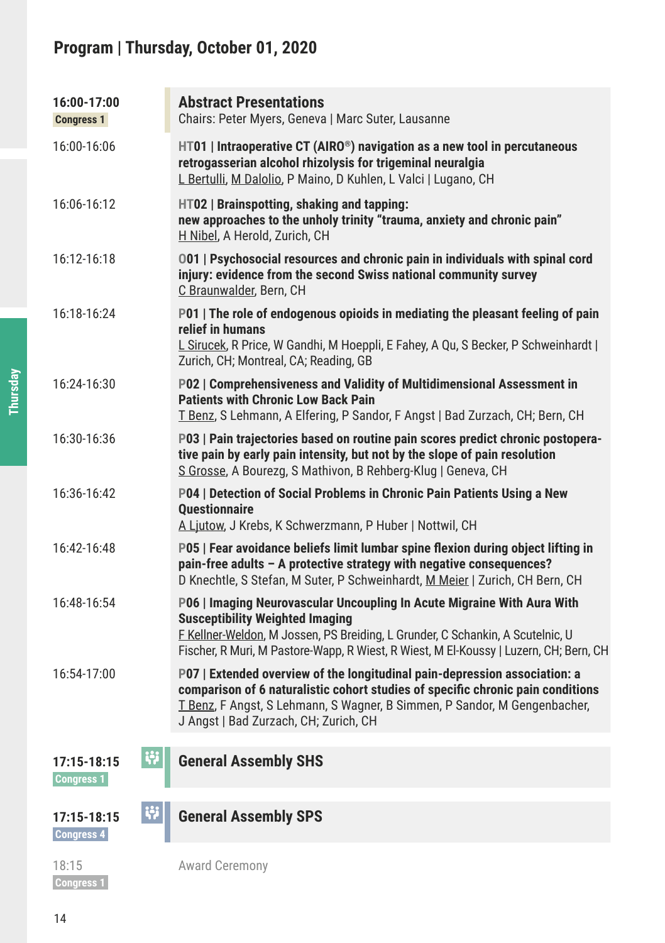## **Program | Thursday, October 01, 2020**

| 16:00-17:00<br><b>Congress 1</b>   | <b>Abstract Presentations</b><br>Chairs: Peter Myers, Geneva   Marc Suter, Lausanne                                                                                                                                                                                                          |
|------------------------------------|----------------------------------------------------------------------------------------------------------------------------------------------------------------------------------------------------------------------------------------------------------------------------------------------|
| 16:00-16:06                        | $HT01$   Intraoperative CT (AIRO <sup>®</sup> ) navigation as a new tool in percutaneous<br>retrogasserian alcohol rhizolysis for trigeminal neuralgia<br>L Bertulli, M Dalolio, P Maino, D Kuhlen, L Valci   Lugano, CH                                                                     |
| 16:06-16:12                        | $HTO2$   Brainspotting, shaking and tapping:<br>new approaches to the unholy trinity "trauma, anxiety and chronic pain"<br>H Nibel, A Herold, Zurich, CH                                                                                                                                     |
| 16:12-16:18                        | 001   Psychosocial resources and chronic pain in individuals with spinal cord<br>injury: evidence from the second Swiss national community survey<br>C Braunwalder, Bern, CH                                                                                                                 |
| 16:18-16:24                        | P01   The role of endogenous opioids in mediating the pleasant feeling of pain<br>relief in humans<br>L Sirucek, R Price, W Gandhi, M Hoeppli, E Fahey, A Qu, S Becker, P Schweinhardt  <br>Zurich, CH; Montreal, CA; Reading, GB                                                            |
| 16:24-16:30                        | P02   Comprehensiveness and Validity of Multidimensional Assessment in<br><b>Patients with Chronic Low Back Pain</b><br>T Benz, S Lehmann, A Elfering, P Sandor, F Angst   Bad Zurzach, CH; Bern, CH                                                                                         |
| 16:30-16:36                        | P03   Pain trajectories based on routine pain scores predict chronic postopera-<br>tive pain by early pain intensity, but not by the slope of pain resolution<br>S Grosse, A Bourezg, S Mathivon, B Rehberg-Klug   Geneva, CH                                                                |
| 16:36-16:42                        | P04   Detection of Social Problems in Chronic Pain Patients Using a New<br><b>Ouestionnaire</b><br>A Ljutow, J Krebs, K Schwerzmann, P Huber   Nottwil, CH                                                                                                                                   |
| 16:42-16:48                        | P05   Fear avoidance beliefs limit lumbar spine flexion during object lifting in<br>pain-free adults - A protective strategy with negative consequences?<br>D Knechtle, S Stefan, M Suter, P Schweinhardt, M Meier   Zurich, CH Bern, CH                                                     |
| 16:48-16:54                        | P06   Imaging Neurovascular Uncoupling In Acute Migraine With Aura With<br><b>Susceptibility Weighted Imaging</b><br>F Kellner-Weldon, M Jossen, PS Breiding, L Grunder, C Schankin, A Scutelnic, U<br>Fischer, R Muri, M Pastore-Wapp, R Wiest, R Wiest, M El-Koussy   Luzern, CH; Bern, CH |
| 16:54-17:00                        | P07   Extended overview of the longitudinal pain-depression association: a<br>comparison of 6 naturalistic cohort studies of specific chronic pain conditions<br>T Benz, F Angst, S Lehmann, S Wagner, B Simmen, P Sandor, M Gengenbacher,<br>J Angst   Bad Zurzach, CH; Zurich, CH          |
| 單<br>$17:15 - 18:15$<br>Congress 1 | <b>General Assembly SHS</b>                                                                                                                                                                                                                                                                  |
| W<br>17:15-18:15<br>Congress 4     | <b>General Assembly SPS</b>                                                                                                                                                                                                                                                                  |
| 18:15                              | <b>Award Ceremony</b>                                                                                                                                                                                                                                                                        |

 **Congress 1**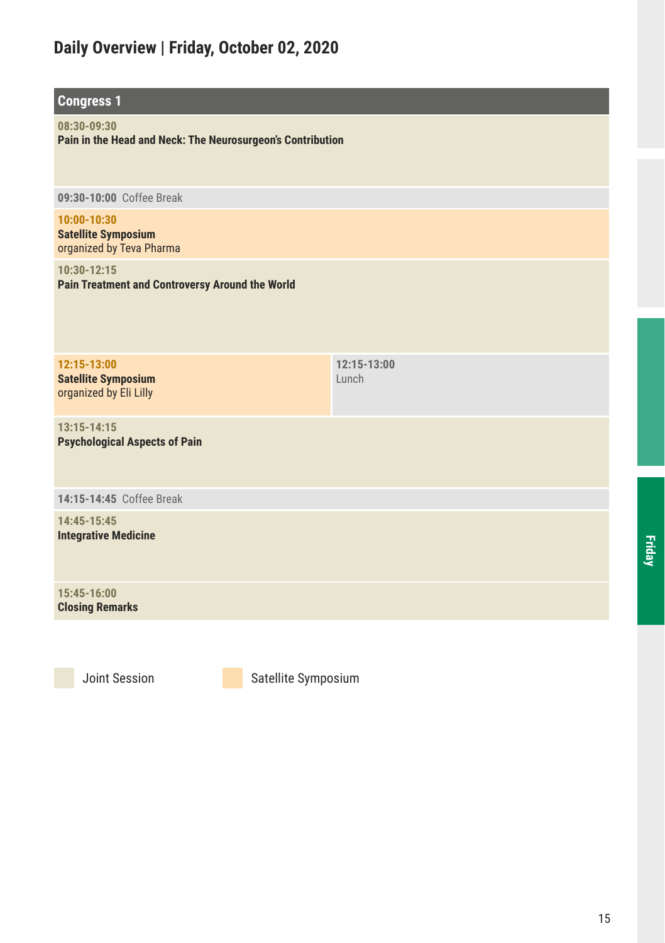## **Daily Overview | Friday, October 02, 2020**

| <b>Congress 1</b>                                                         |                      |
|---------------------------------------------------------------------------|----------------------|
| 08:30-09:30<br>Pain in the Head and Neck: The Neurosurgeon's Contribution |                      |
| 09:30-10:00 Coffee Break                                                  |                      |
| 10:00-10:30<br><b>Satellite Symposium</b><br>organized by Teva Pharma     |                      |
| 10:30-12:15<br>Pain Treatment and Controversy Around the World            |                      |
| 12:15-13:00<br><b>Satellite Symposium</b><br>organized by Eli Lilly       | 12:15-13:00<br>Lunch |
| $13:15 - 14:15$<br><b>Psychological Aspects of Pain</b>                   |                      |
| 14:15-14:45 Coffee Break                                                  |                      |
| 14:45-15:45<br><b>Integrative Medicine</b>                                |                      |
| 15:45-16:00<br><b>Closing Remarks</b>                                     |                      |
|                                                                           |                      |

**Friday**

Joint Session Satellite Symposium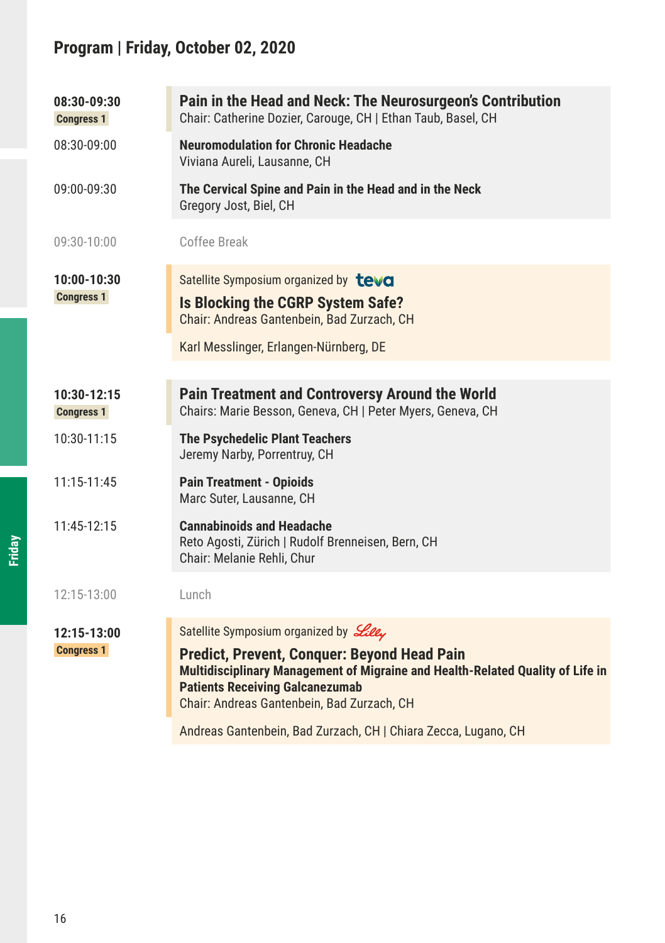## **Program | Friday, October 02, 2020**

| 08:30-09:30<br><b>Congress 1</b> | Pain in the Head and Neck: The Neurosurgeon's Contribution<br>Chair: Catherine Dozier, Carouge, CH   Ethan Taub, Basel, CH                                                                                                   |
|----------------------------------|------------------------------------------------------------------------------------------------------------------------------------------------------------------------------------------------------------------------------|
| 08:30-09:00                      | <b>Neuromodulation for Chronic Headache</b><br>Viviana Aureli, Lausanne, CH                                                                                                                                                  |
| 09:00-09:30                      | The Cervical Spine and Pain in the Head and in the Neck<br>Gregory Jost, Biel, CH                                                                                                                                            |
| 09:30-10:00                      | Coffee Break                                                                                                                                                                                                                 |
| 10:00-10:30<br><b>Congress 1</b> | Satellite Symposium organized by teva<br>Is Blocking the CGRP System Safe?<br>Chair: Andreas Gantenbein, Bad Zurzach, CH                                                                                                     |
|                                  | Karl Messlinger, Erlangen-Nürnberg, DE                                                                                                                                                                                       |
| 10:30-12:15<br><b>Congress 1</b> | <b>Pain Treatment and Controversy Around the World</b><br>Chairs: Marie Besson, Geneva, CH   Peter Myers, Geneva, CH                                                                                                         |
| 10:30-11:15                      | <b>The Psychedelic Plant Teachers</b><br>Jeremy Narby, Porrentruy, CH                                                                                                                                                        |
| 11:15-11:45                      | <b>Pain Treatment - Opioids</b><br>Marc Suter, Lausanne, CH                                                                                                                                                                  |
| 11:45-12:15                      | <b>Cannabinoids and Headache</b><br>Reto Agosti, Zürich   Rudolf Brenneisen, Bern, CH<br>Chair: Melanie Rehli, Chur                                                                                                          |
| 12:15-13:00                      | Lunch                                                                                                                                                                                                                        |
| 12:15-13:00                      | Satellite Symposium organized by Lilly                                                                                                                                                                                       |
| <b>Congress 1</b>                | <b>Predict, Prevent, Conquer: Beyond Head Pain</b><br>Multidisciplinary Management of Migraine and Health-Related Quality of Life in<br><b>Patients Receiving Galcanezumab</b><br>Chair: Andreas Gantenbein, Bad Zurzach, CH |
|                                  | Andreas Gantenbein, Bad Zurzach, CH   Chiara Zecca, Lugano, CH                                                                                                                                                               |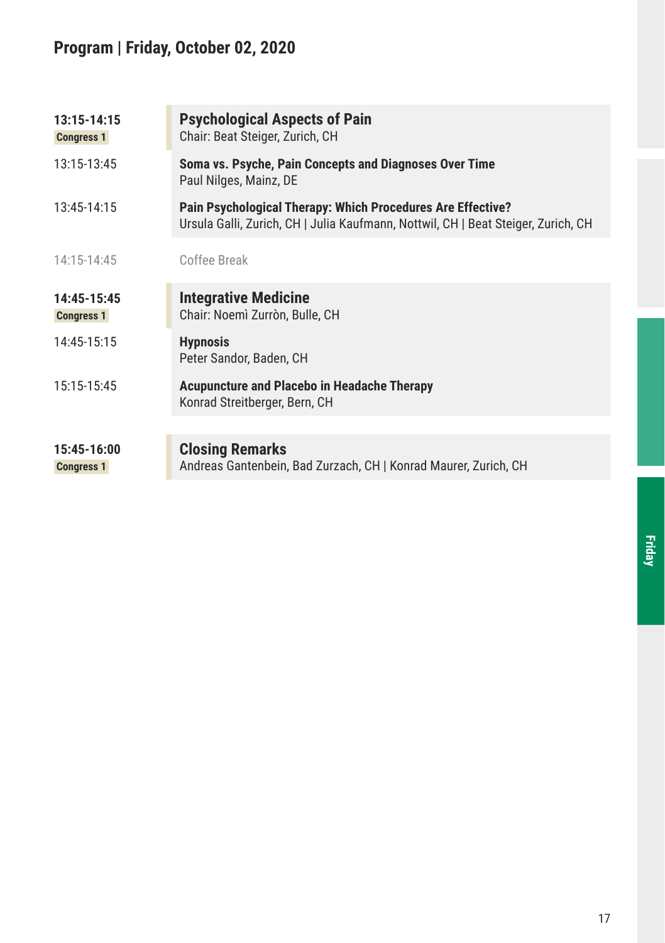## **Program | Friday, October 02, 2020**

| 13:15-14:15<br><b>Congress 1</b> | <b>Psychological Aspects of Pain</b><br>Chair: Beat Steiger, Zurich, CH                                                                          |
|----------------------------------|--------------------------------------------------------------------------------------------------------------------------------------------------|
| 13:15-13:45                      | Soma vs. Psyche, Pain Concepts and Diagnoses Over Time<br>Paul Nilges, Mainz, DE                                                                 |
| 13:45-14:15                      | Pain Psychological Therapy: Which Procedures Are Effective?<br>Ursula Galli, Zurich, CH   Julia Kaufmann, Nottwil, CH   Beat Steiger, Zurich, CH |
| 14:15-14:45                      | Coffee Break                                                                                                                                     |
| 14:45-15:45<br><b>Congress 1</b> | <b>Integrative Medicine</b><br>Chair: Noemì Zurròn, Bulle, CH                                                                                    |
| 14:45-15:15                      | <b>Hypnosis</b><br>Peter Sandor, Baden, CH                                                                                                       |
| 15:15-15:45                      | <b>Acupuncture and Placebo in Headache Therapy</b><br>Konrad Streitberger, Bern, CH                                                              |
|                                  |                                                                                                                                                  |
| 15:45-16:00<br><b>Congress 1</b> | <b>Closing Remarks</b><br>Andreas Gantenbein, Bad Zurzach, CH   Konrad Maurer, Zurich, CH                                                        |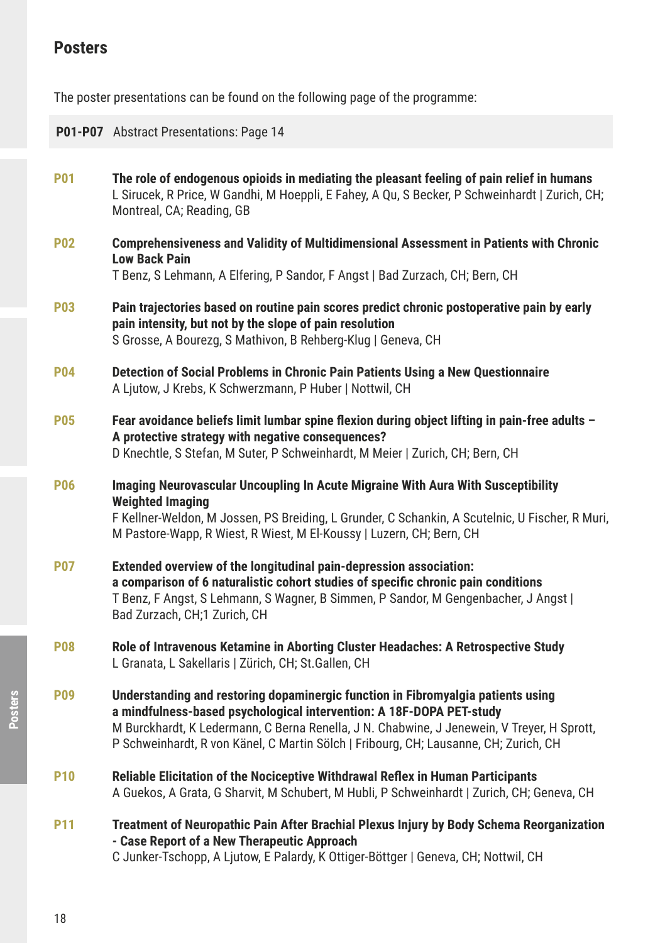## **Posters**

The poster presentations can be found on the following page of the programme:

|                 | P01-P07 Abstract Presentations: Page 14                                                                                                                                                                                                                                                                                                        |
|-----------------|------------------------------------------------------------------------------------------------------------------------------------------------------------------------------------------------------------------------------------------------------------------------------------------------------------------------------------------------|
| <b>P01</b>      | The role of endogenous opioids in mediating the pleasant feeling of pain relief in humans<br>L Sirucek, R Price, W Gandhi, M Hoeppli, E Fahey, A Qu, S Becker, P Schweinhardt   Zurich, CH;<br>Montreal, CA; Reading, GB                                                                                                                       |
| <b>P02</b>      | Comprehensiveness and Validity of Multidimensional Assessment in Patients with Chronic<br><b>Low Back Pain</b><br>T Benz, S Lehmann, A Elfering, P Sandor, F Angst   Bad Zurzach, CH; Bern, CH                                                                                                                                                 |
| <b>P03</b>      | Pain trajectories based on routine pain scores predict chronic postoperative pain by early<br>pain intensity, but not by the slope of pain resolution<br>S Grosse, A Bourezq, S Mathivon, B Rehberg-Klug   Geneva, CH                                                                                                                          |
| <b>P04</b>      | Detection of Social Problems in Chronic Pain Patients Using a New Questionnaire<br>A Ljutow, J Krebs, K Schwerzmann, P Huber   Nottwil, CH                                                                                                                                                                                                     |
| <b>P05</b>      | Fear avoidance beliefs limit lumbar spine flexion during object lifting in pain-free adults -<br>A protective strategy with negative consequences?<br>D Knechtle, S Stefan, M Suter, P Schweinhardt, M Meier   Zurich, CH; Bern, CH                                                                                                            |
| <b>P06</b>      | Imaging Neurovascular Uncoupling In Acute Migraine With Aura With Susceptibility<br><b>Weighted Imaging</b><br>F Kellner-Weldon, M Jossen, PS Breiding, L Grunder, C Schankin, A Scutelnic, U Fischer, R Muri,<br>M Pastore-Wapp, R Wiest, R Wiest, M El-Koussy   Luzern, CH; Bern, CH                                                         |
| <b>P07</b>      | Extended overview of the longitudinal pain-depression association:<br>a comparison of 6 naturalistic cohort studies of specific chronic pain conditions<br>T Benz, F Angst, S Lehmann, S Wagner, B Simmen, P Sandor, M Gengenbacher, J Angst  <br>Bad Zurzach, CH;1 Zurich, CH                                                                 |
| <b>P08</b>      | Role of Intravenous Ketamine in Aborting Cluster Headaches: A Retrospective Study<br>L Granata, L Sakellaris   Zürich, CH; St.Gallen, CH                                                                                                                                                                                                       |
| <b>P09</b>      | Understanding and restoring dopaminergic function in Fibromyalgia patients using<br>a mindfulness-based psychological intervention: A 18F-DOPA PET-study<br>M Burckhardt, K Ledermann, C Berna Renella, J N. Chabwine, J Jenewein, V Treyer, H Sprott,<br>P Schweinhardt, R von Känel, C Martin Sölch   Fribourg, CH; Lausanne, CH; Zurich, CH |
| <b>P10</b>      | Reliable Elicitation of the Nociceptive Withdrawal Reflex in Human Participants<br>A Guekos, A Grata, G Sharvit, M Schubert, M Hubli, P Schweinhardt   Zurich, CH; Geneva, CH                                                                                                                                                                  |
| P <sub>11</sub> | Treatment of Neuropathic Pain After Brachial Plexus Injury by Body Schema Reorganization<br>- Case Report of a New Therapeutic Approach<br>C Junker-Tschopp, A Ljutow, E Palardy, K Ottiger-Böttger   Geneva, CH; Nottwil, CH                                                                                                                  |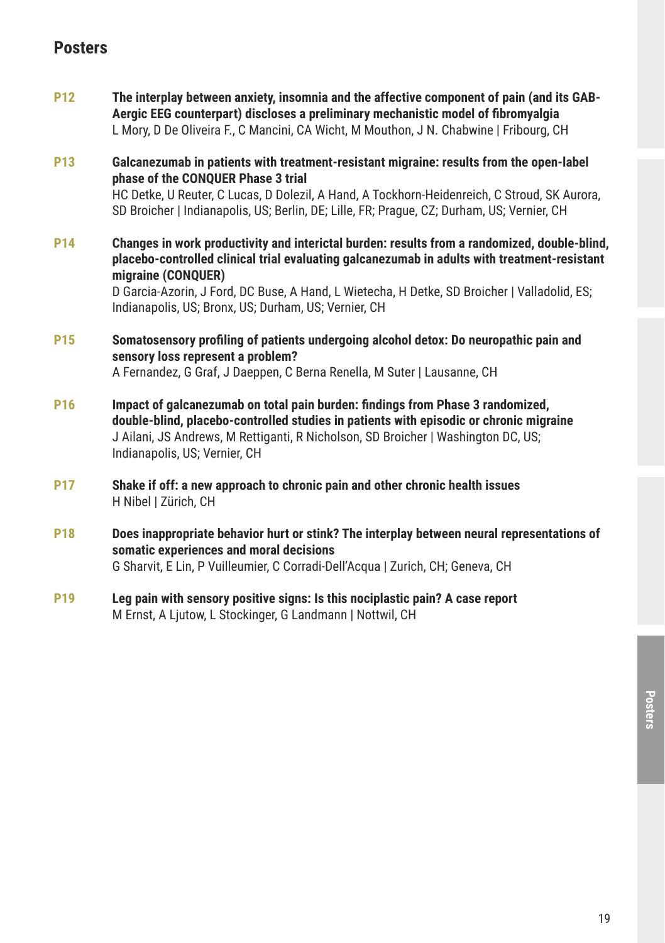### **Posters**

**P12 The interplay between anxiety, insomnia and the affective component of pain (and its GAB-Aergic EEG counterpart) discloses a preliminary mechanistic model of fibromyalgia** L Mory, D De Oliveira F., C Mancini, CA Wicht, M Mouthon, J N. Chabwine | Fribourg, CH

**P13 Galcanezumab in patients with treatment-resistant migraine: results from the open-label phase of the CONQUER Phase 3 trial** HC Detke, U Reuter, C Lucas, D Dolezil, A Hand, A Tockhorn-Heidenreich, C Stroud, SK Aurora, SD Broicher | Indianapolis, US; Berlin, DE; Lille, FR; Prague, CZ; Durham, US; Vernier, CH

**P14 Changes in work productivity and interictal burden: results from a randomized, double-blind, placebo-controlled clinical trial evaluating galcanezumab in adults with treatment-resistant migraine (CONQUER)**

> D Garcia-Azorin, J Ford, DC Buse, A Hand, L Wietecha, H Detke, SD Broicher | Valladolid, ES; Indianapolis, US; Bronx, US; Durham, US; Vernier, CH

- **P15 Somatosensory profiling of patients undergoing alcohol detox: Do neuropathic pain and sensory loss represent a problem?** A Fernandez, G Graf, J Daeppen, C Berna Renella, M Suter | Lausanne, CH
- **P16 Impact of galcanezumab on total pain burden: findings from Phase 3 randomized, double-blind, placebo-controlled studies in patients with episodic or chronic migraine** J Ailani, JS Andrews, M Rettiganti, R Nicholson, SD Broicher | Washington DC, US; Indianapolis, US; Vernier, CH
- **P17 Shake if off: a new approach to chronic pain and other chronic health issues** H Nibel | Zürich, CH
- **P18 Does inappropriate behavior hurt or stink? The interplay between neural representations of somatic experiences and moral decisions** G Sharvit, E Lin, P Vuilleumier, C Corradi-Dell'Acqua | Zurich, CH; Geneva, CH
- **P19 Leg pain with sensory positive signs: Is this nociplastic pain? A case report** M Ernst, A Ljutow, L Stockinger, G Landmann | Nottwil, CH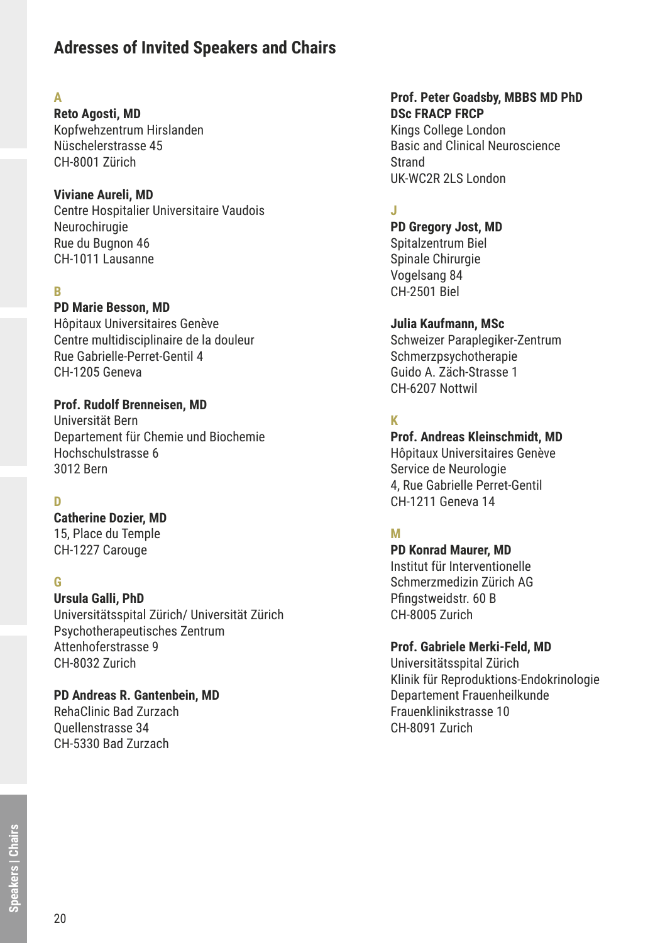### **Adresses of Invited Speakers and Chairs**

#### **A**

**Reto Agosti, MD** Kopfwehzentrum Hirslanden Nüschelerstrasse 45 CH-8001 Zürich

#### **Viviane Aureli, MD**

Centre Hospitalier Universitaire Vaudois **Neurochirugie** Rue du Bugnon 46 CH-1011 Lausanne

#### **B**

#### **PD Marie Besson, MD**

Hôpitaux Universitaires Genève Centre multidisciplinaire de la douleur Rue Gabrielle-Perret-Gentil 4 CH-1205 Geneva

**Prof. Rudolf Brenneisen, MD** Universität Bern Departement für Chemie und Biochemie Hochschulstrasse 6 3012 Bern

#### **D**

**Catherine Dozier, MD** 15, Place du Temple CH-1227 Carouge

#### **G**

**Ursula Galli, PhD** Universitätsspital Zürich/ Universität Zürich Psychotherapeutisches Zentrum Attenhoferstrasse 9 CH-8032 Zurich

**PD Andreas R. Gantenbein, MD** RehaClinic Bad Zurzach Quellenstrasse 34 CH-5330 Bad Zurzach

#### **Prof. Peter Goadsby, MBBS MD PhD DSc FRACP FRCP**

Kings College London Basic and Clinical Neuroscience Strand UK-WC2R 2LS London

#### **J**

**PD Gregory Jost, MD** Spitalzentrum Biel Spinale Chirurgie Vogelsang 84 CH-2501 Biel

#### **Julia Kaufmann, MSc**

Schweizer Paraplegiker-Zentrum Schmerzpsychotherapie Guido A. Zäch-Strasse 1 CH-6207 Nottwil

#### **K**

**Prof. Andreas Kleinschmidt, MD** Hôpitaux Universitaires Genève Service de Neurologie 4, Rue Gabrielle Perret-Gentil CH-1211 Geneva 14

#### **M**

**PD Konrad Maurer, MD** Institut für Interventionelle Schmerzmedizin Zürich AG Pfingstweidstr. 60 B CH-8005 Zurich

#### **Prof. Gabriele Merki-Feld, MD**

Universitätsspital Zürich Klinik für Reproduktions-Endokrinologie Departement Frauenheilkunde Frauenklinikstrasse 10 CH-8091 Zurich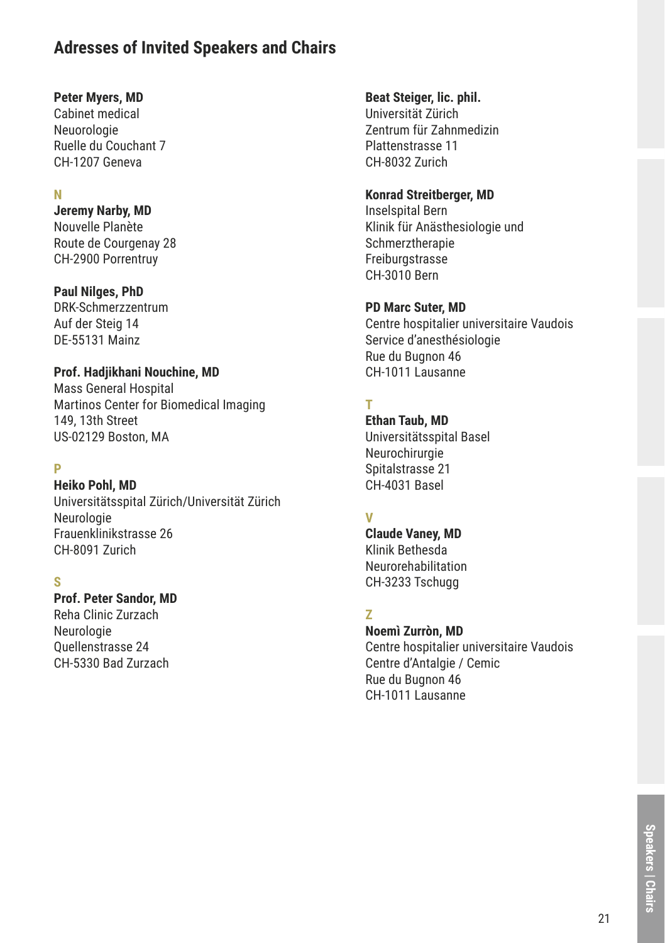### **Adresses of Invited Speakers and Chairs**

#### **Peter Myers, MD**

Cabinet medical Neuorologie Ruelle du Couchant 7 CH-1207 Geneva

#### **N**

**Jeremy Narby, MD** Nouvelle Planète Route de Courgenay 28 CH-2900 Porrentruy

#### **Paul Nilges, PhD**

DRK-Schmerzzentrum Auf der Steig 14 DE-55131 Mainz

#### **Prof. Hadjikhani Nouchine, MD**

Mass General Hospital Martinos Center for Biomedical Imaging 149, 13th Street US-02129 Boston, MA

#### **P**

#### **Heiko Pohl, MD**

Universitätsspital Zürich/Universität Zürich Neurologie Frauenklinikstrasse 26 CH-8091 Zurich

#### **S**

#### **Prof. Peter Sandor, MD**

Reha Clinic Zurzach Neurologie Quellenstrasse 24 CH-5330 Bad Zurzach

#### **Beat Steiger, lic. phil.**

Universität Zürich Zentrum für Zahnmedizin Plattenstrasse 11 CH-8032 Zurich

#### **Konrad Streitberger, MD**

Inselspital Bern Klinik für Anästhesiologie und Schmerztherapie **Freiburgstrasse** CH-3010 Bern

#### **PD Marc Suter, MD**

Centre hospitalier universitaire Vaudois Service d'anesthésiologie Rue du Bugnon 46 CH-1011 Lausanne

#### **T**

**Ethan Taub, MD** Universitätsspital Basel Neurochirurgie Spitalstrasse 21 CH-4031 Basel

#### **V**

**Claude Vaney, MD** Klinik Bethesda Neurorehabilitation CH-3233 Tschugg

#### **Z**

**Noemì Zurròn, MD**

Centre hospitalier universitaire Vaudois Centre d'Antalgie / Cemic Rue du Bugnon 46 CH-1011 Lausanne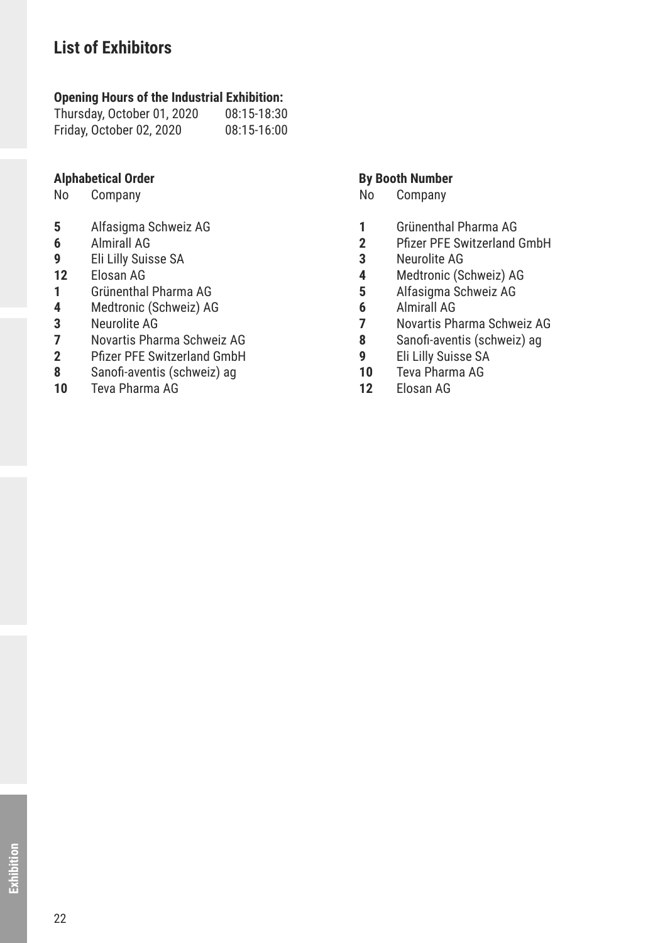## **List of Exhibitors**

## **Opening Hours of the Industrial Exhibition:**<br>Thursday, October 01, 2020 08:15-18:30

Thursday, October 01, 2020 08:15-18:30 Friday, October 02, 2020

## **Alphabetical Order By Booth Number**<br> **By Booth Number**<br> **By Booth Number**<br> **By Booth Number**

- **5** Alfasigma Schweiz AG
- **6** Almirall AG
- **9** Eli Lilly Suisse SA
- **12** Elosan AG
- **1** Grünenthal Pharma AG
- **4** Medtronic (Schweiz) AG
- **3** Neurolite AG
- **7** Novartis Pharma Schweiz AG
- **2** Pfizer PFE Switzerland GmbH
- **8** Sanofi-aventis (schweiz) ag
- **10** Teva Pharma AG

- Company
- **1** Grünenthal Pharma AG
- **2** Pfizer PFE Switzerland GmbH
- **3** Neurolite AG
- **4** Medtronic (Schweiz) AG
- **5** Alfasigma Schweiz AG
- **6** Almirall AG
- **7** Novartis Pharma Schweiz AG
- **8** Sanofi-aventis (schweiz) ag
- **9** Eli Lilly Suisse SA
- **10** Teva Pharma AG
- **12** Elosan AG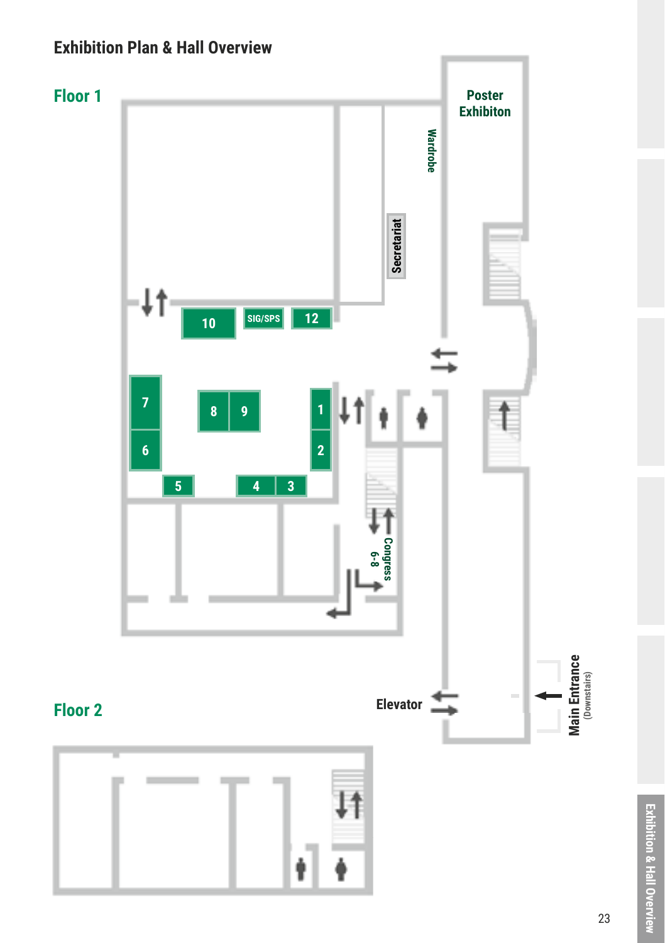## **Exhibition Plan & Hall Overview**